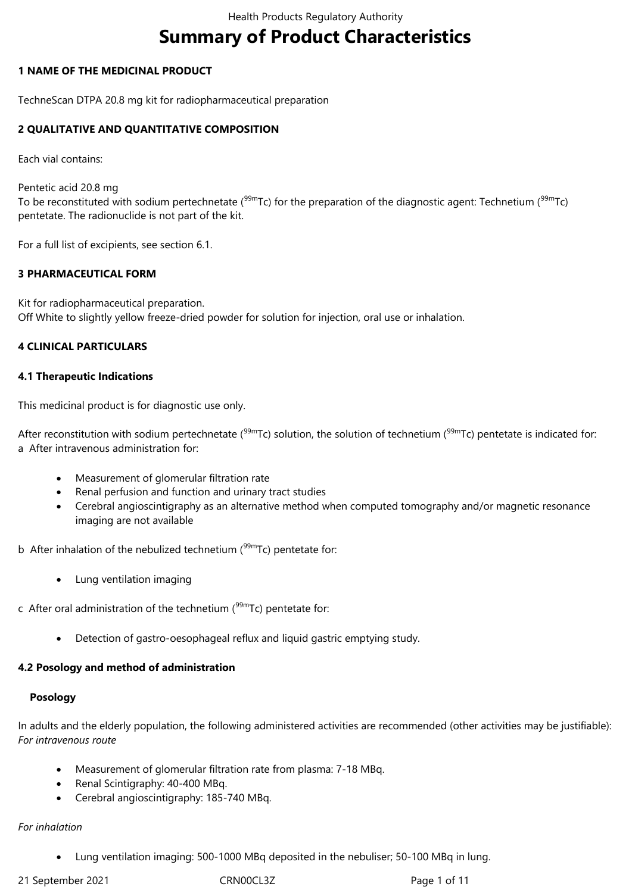# **Summary of Product Characteristics**

### **1 NAME OF THE MEDICINAL PRODUCT**

TechneScan DTPA 20.8 mg kit for radiopharmaceutical preparation

### **2 QUALITATIVE AND QUANTITATIVE COMPOSITION**

Each vial contains:

Pentetic acid 20.8 mg To be reconstituted with sodium pertechnetate ( $99mTc$ ) for the preparation of the diagnostic agent: Technetium ( $99mTc$ ) pentetate. The radionuclide is not part of the kit.

For a full list of excipients, see section 6.1.

### **3 PHARMACEUTICAL FORM**

Kit for radiopharmaceutical preparation. Off White to slightly yellow freeze-dried powder for solution for injection, oral use or inhalation.

### **4 CLINICAL PARTICULARS**

### **4.1 Therapeutic Indications**

This medicinal product is for diagnostic use only.

After reconstitution with sodium pertechnetate ( $99mTc$ ) solution, the solution of technetium ( $99mTc$ ) pentetate is indicated for: a After intravenous administration for:

- Measurement of glomerular filtration rate
- Renal perfusion and function and urinary tract studies
- Cerebral angioscintigraphy as an alternative method when computed tomography and/or magnetic resonance imaging are not available

b After inhalation of the nebulized technetium  $(99m)$ Tc) pentetate for:

- Lung ventilation imaging
- c After oral administration of the technetium  $(99m)$ Tc) pentetate for:
	- Detection of gastro-oesophageal reflux and liquid gastric emptying study.

### **4.2 Posology and method of administration**

### **Posology**

In adults and the elderly population, the following administered activities are recommended (other activities may be justifiable): *For intravenous route*

- Measurement of glomerular filtration rate from plasma: 7-18 MBq.
- Renal Scintigraphy: 40-400 MBq.
- Cerebral angioscintigraphy: 185-740 MBq.

### *For inhalation*

Lung ventilation imaging: 500-1000 MBq deposited in the nebuliser; 50-100 MBq in lung.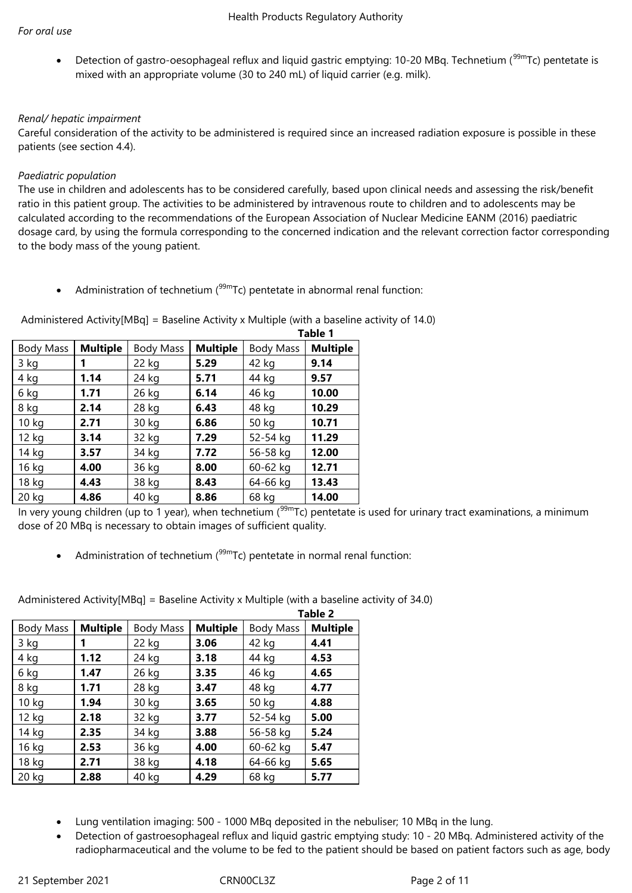Detection of gastro-oesophageal reflux and liquid gastric emptying: 10-20 MBq. Technetium (<sup>99m</sup>Tc) pentetate is mixed with an appropriate volume (30 to 240 mL) of liquid carrier (e.g. milk).

### *Renal/ hepatic impairment*

Careful consideration of the activity to be administered is required since an increased radiation exposure is possible in these patients (see section 4.4).

### *Paediatric population*

The use in children and adolescents has to be considered carefully, based upon clinical needs and assessing the risk/benefit ratio in this patient group. The activities to be administered by intravenous route to children and to adolescents may be calculated according to the recommendations of the European Association of Nuclear Medicine EANM (2016) paediatric dosage card, by using the formula corresponding to the concerned indication and the relevant correction factor corresponding to the body mass of the young patient.

Administration of technetium  $(99m)$ Tc) pentetate in abnormal renal function:

|                  |                 |                  |                 | Table 1          |                 |  |
|------------------|-----------------|------------------|-----------------|------------------|-----------------|--|
| <b>Body Mass</b> | <b>Multiple</b> | <b>Body Mass</b> | <b>Multiple</b> | <b>Body Mass</b> | <b>Multiple</b> |  |
| 3 kg             |                 | 22 kg            | 5.29            | 42 kg            | 9.14            |  |
| 4 kg             | 1.14            | 24 kg            | 5.71            | 44 kg            | 9.57            |  |
| 6 kg             | 1.71            | 26 kg            | 6.14            | 46 kg            | 10.00           |  |
| 8 kg             | 2.14            | 28 kg            | 6.43            | 48 kg            | 10.29           |  |
| 10 <sub>kg</sub> | 2.71            | 30 kg            | 6.86            | 50 kg            | 10.71           |  |
| 12 kg            | 3.14            | 32 kg            | 7.29            | 52-54 kg         | 11.29           |  |
| 14 kg            | 3.57            | 34 kg            | 7.72            | 56-58 kg         | 12.00           |  |
| 16 kg            | 4.00            | 36 kg            | 8.00            | 60-62 kg         | 12.71           |  |
| 18 kg            | 4.43            | 38 kg            | 8.43            | 64-66 kg         | 13.43           |  |
| 20 kg            | 4.86            | 40 kg            | 8.86            | 68 kg            | 14.00           |  |

Administered Activity[MBq] = Baseline Activity x Multiple (with a baseline activity of 14.0)

In very young children (up to 1 year), when technetium ( $99mTc$ ) pentetate is used for urinary tract examinations, a minimum dose of 20 MBq is necessary to obtain images of sufficient quality.

• Administration of technetium  $(99m)$ Tc) pentetate in normal renal function:

Administered Activity[MBq] = Baseline Activity x Multiple (with a baseline activity of 34.0)

|                  |                 |           |                 | Table 2   |                 |  |
|------------------|-----------------|-----------|-----------------|-----------|-----------------|--|
| Body Mass        | <b>Multiple</b> | Body Mass | <b>Multiple</b> | Body Mass | <b>Multiple</b> |  |
| 3 kg             |                 | 22 kg     | 3.06            | 42 kg     | 4.41            |  |
| 4 kg             | 1.12            | 24 kg     | 3.18            | 44 kg     | 4.53            |  |
| 6 kg             | 1.47            | 26 kg     | 3.35            | 46 kg     | 4.65            |  |
| 8 kg             | 1.71            | 28 kg     | 3.47            | 48 kg     | 4.77            |  |
| 10 <sub>kg</sub> | 1.94            | 30 kg     | 3.65            | 50 kg     | 4.88            |  |
| 12 kg            | 2.18            | 32 kg     | 3.77            | 52-54 kg  | 5.00            |  |
| 14 kg            | 2.35            | 34 kg     | 3.88            | 56-58 kg  | 5.24            |  |
| 16 kg            | 2.53            | 36 kg     | 4.00            | 60-62 kg  | 5.47            |  |
| 18 kg            | 2.71            | 38 kg     | 4.18            | 64-66 kg  | 5.65            |  |
| 20 kg            | 2.88            | 40 kg     | 4.29            | 68 kg     | 5.77            |  |

- Lung ventilation imaging: 500 1000 MBq deposited in the nebuliser; 10 MBq in the lung.
- Detection of gastroesophageal reflux and liquid gastric emptying study: 10 20 MBq. Administered activity of the radiopharmaceutical and the volume to be fed to the patient should be based on patient factors such as age, body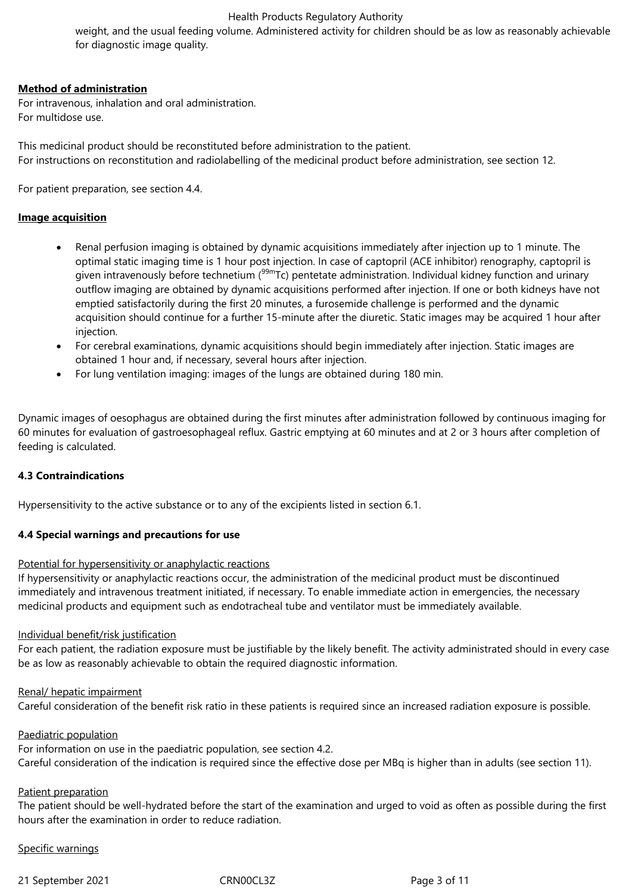weight, and the usual feeding volume. Administered activity for children should be as low as reasonably achievable for diagnostic image quality.

### **Method of administration**

For intravenous, inhalation and oral administration. For multidose use.

This medicinal product should be reconstituted before administration to the patient. For instructions on reconstitution and radiolabelling of the medicinal product before administration, see section 12.

For patient preparation, see section 4.4.

### **Image acquisition**

- Renal perfusion imaging is obtained by dynamic acquisitions immediately after injection up to 1 minute. The optimal static imaging time is 1 hour post injection. In case of captopril (ACE inhibitor) renography, captopril is given intravenously before technetium (<sup>99m</sup>Tc) pentetate administration. Individual kidney function and urinary outflow imaging are obtained by dynamic acquisitions performed after injection. If one or both kidneys have not emptied satisfactorily during the first 20 minutes, a furosemide challenge is performed and the dynamic acquisition should continue for a further 15-minute after the diuretic. Static images may be acquired 1 hour after injection.
- For cerebral examinations, dynamic acquisitions should begin immediately after injection. Static images are obtained 1 hour and, if necessary, several hours after injection.
- For lung ventilation imaging: images of the lungs are obtained during 180 min.

Dynamic images of oesophagus are obtained during the first minutes after administration followed by continuous imaging for 60 minutes for evaluation of gastroesophageal reflux. Gastric emptying at 60 minutes and at 2 or 3 hours after completion of feeding is calculated.

### **4.3 Contraindications**

Hypersensitivity to the active substance or to any of the excipients listed in section 6.1.

### **4.4 Special warnings and precautions for use**

### Potential for hypersensitivity or anaphylactic reactions

If hypersensitivity or anaphylactic reactions occur, the administration of the medicinal product must be discontinued immediately and intravenous treatment initiated, if necessary. To enable immediate action in emergencies, the necessary medicinal products and equipment such as endotracheal tube and ventilator must be immediately available.

### Individual benefit/risk justification

For each patient, the radiation exposure must be justifiable by the likely benefit. The activity administrated should in every case be as low as reasonably achievable to obtain the required diagnostic information.

### Renal/ hepatic impairment

Careful consideration of the benefit risk ratio in these patients is required since an increased radiation exposure is possible.

#### Paediatric population

For information on use in the paediatric population, see section 4.2. Careful consideration of the indication is required since the effective dose per MBq is higher than in adults (see section 11).

### Patient preparation

The patient should be well-hydrated before the start of the examination and urged to void as often as possible during the first hours after the examination in order to reduce radiation.

### Specific warnings

21 September 2021 CRN00CL3Z Page 3 of 11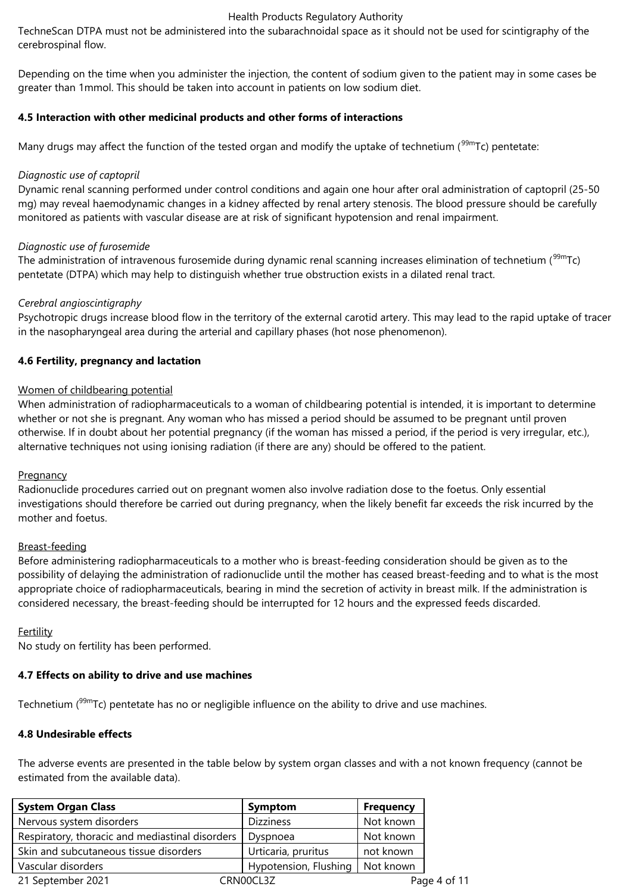TechneScan DTPA must not be administered into the subarachnoidal space as it should not be used for scintigraphy of the cerebrospinal flow.

Depending on the time when you administer the injection, the content of sodium given to the patient may in some cases be greater than 1mmol. This should be taken into account in patients on low sodium diet.

### **4.5 Interaction with other medicinal products and other forms of interactions**

Many drugs may affect the function of the tested organ and modify the uptake of technetium (<sup>99m</sup>Tc) pentetate:

### *Diagnostic use of captopril*

Dynamic renal scanning performed under control conditions and again one hour after oral administration of captopril (25-50 mg) may reveal haemodynamic changes in a kidney affected by renal artery stenosis. The blood pressure should be carefully monitored as patients with vascular disease are at risk of significant hypotension and renal impairment.

### *Diagnostic use of furosemide*

The administration of intravenous furosemide during dynamic renal scanning increases elimination of technetium (<sup>99m</sup>Tc) pentetate (DTPA) which may help to distinguish whether true obstruction exists in a dilated renal tract.

### *Cerebral angioscintigraphy*

Psychotropic drugs increase blood flow in the territory of the external carotid artery. This may lead to the rapid uptake of tracer in the nasopharyngeal area during the arterial and capillary phases (hot nose phenomenon).

### **4.6 Fertility, pregnancy and lactation**

### Women of childbearing potential

When administration of radiopharmaceuticals to a woman of childbearing potential is intended, it is important to determine whether or not she is pregnant. Any woman who has missed a period should be assumed to be pregnant until proven otherwise. If in doubt about her potential pregnancy (if the woman has missed a period, if the period is very irregular, etc.), alternative techniques not using ionising radiation (if there are any) should be offered to the patient.

### **Pregnancy**

Radionuclide procedures carried out on pregnant women also involve radiation dose to the foetus. Only essential investigations should therefore be carried out during pregnancy, when the likely benefit far exceeds the risk incurred by the mother and foetus.

### Breast-feeding

Before administering radiopharmaceuticals to a mother who is breast-feeding consideration should be given as to the possibility of delaying the administration of radionuclide until the mother has ceased breast-feeding and to what is the most appropriate choice of radiopharmaceuticals, bearing in mind the secretion of activity in breast milk. If the administration is considered necessary, the breast-feeding should be interrupted for 12 hours and the expressed feeds discarded.

### Fertility

No study on fertility has been performed.

# **4.7 Effects on ability to drive and use machines**

Technetium  $(^{99m}Tc)$  pentetate has no or negligible influence on the ability to drive and use machines.

# **4.8 Undesirable effects**

The adverse events are presented in the table below by system organ classes and with a not known frequency (cannot be estimated from the available data).

| <b>System Organ Class</b>                       | Symptom               | <b>Frequency</b> |
|-------------------------------------------------|-----------------------|------------------|
| Nervous system disorders                        | <b>Dizziness</b>      | Not known        |
| Respiratory, thoracic and mediastinal disorders | Dyspnoea              | Not known        |
| Skin and subcutaneous tissue disorders          | Urticaria, pruritus   | not known        |
| Vascular disorders                              | Hypotension, Flushing | Not known        |
| 21 September 2021                               | CRN00CL3Z             | Page 4 of 11     |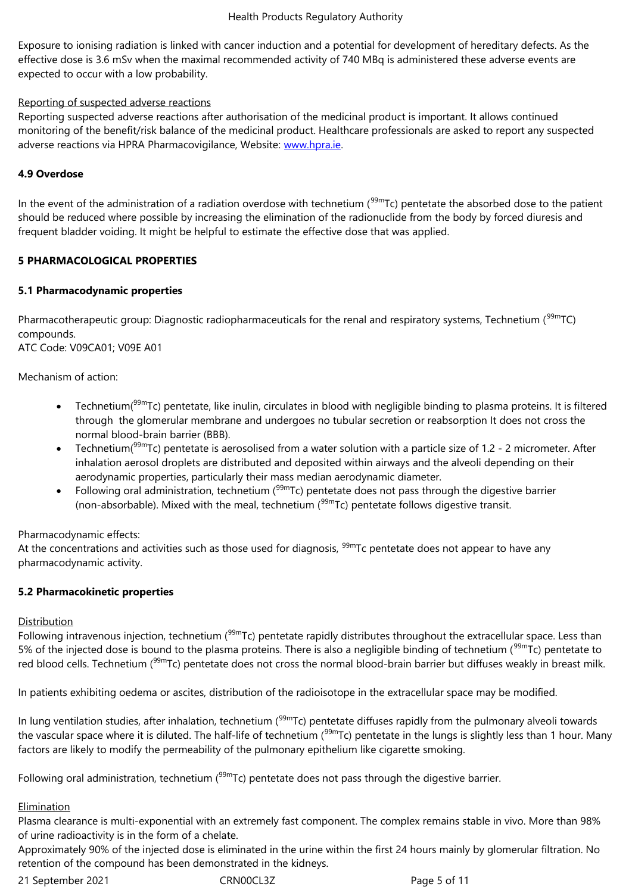effective dose is 3.6 mSv when the maximal recommended activity of 740 MBq is administered these adverse events are expected to occur with a low probability.

# Reporting of suspected adverse reactions

Reporting suspected adverse reactions after authorisation of the medicinal product is important. It allows continued monitoring of the benefit/risk balance of the medicinal product. Healthcare professionals are asked to report any suspected adverse reactions via HPRA Pharmacovigilance, Website: www.hpra.ie.

# **4.9 Overdose**

In the event of the administration of a radiation overdos[e with techne](http://www.hpra.ie/)tium ( $99m$ Tc) pentetate the absorbed dose to the patient should be reduced where possible by increasing the elimination of the radionuclide from the body by forced diuresis and frequent bladder voiding. It might be helpful to estimate the effective dose that was applied.

# **5 PHARMACOLOGICAL PROPERTIES**

# **5.1 Pharmacodynamic properties**

Pharmacotherapeutic group: Diagnostic radiopharmaceuticals for the renal and respiratory systems, Technetium  $(99m)$ TC) compounds.

ATC Code: V09CA01; V09E A01

Mechanism of action:

- Technetium( $99m$ Tc) pentetate, like inulin, circulates in blood with negligible binding to plasma proteins. It is filtered through the glomerular membrane and undergoes no tubular secretion or reabsorption It does not cross the normal blood-brain barrier (BBB).
- Technetium( $99m$ Tc) pentetate is aerosolised from a water solution with a particle size of 1.2 2 micrometer. After inhalation aerosol droplets are distributed and deposited within airways and the alveoli depending on their aerodynamic properties, particularly their mass median aerodynamic diameter.
- Following oral administration, technetium ( $99mTc$ ) pentetate does not pass through the digestive barrier (non-absorbable). Mixed with the meal, technetium  $(99m)$ Tc) pentetate follows digestive transit.

Pharmacodynamic effects:

At the concentrations and activities such as those used for diagnosis,  $^{99m}$ Tc pentetate does not appear to have any pharmacodynamic activity.

# **5.2 Pharmacokinetic properties**

# **Distribution**

Following intravenous injection, technetium (<sup>99m</sup>Tc) pentetate rapidly distributes throughout the extracellular space. Less than 5% of the injected dose is bound to the plasma proteins. There is also a negligible binding of technetium (<sup>99m</sup>Tc) pentetate to red blood cells. Technetium (<sup>99m</sup>Tc) pentetate does not cross the normal blood-brain barrier but diffuses weakly in breast milk.

In patients exhibiting oedema or ascites, distribution of the radioisotope in the extracellular space may be modified.

In lung ventilation studies, after inhalation, technetium  $(99m)$ Tc) pentetate diffuses rapidly from the pulmonary alveoli towards the vascular space where it is diluted. The half-life of technetium (<sup>99m</sup>Tc) pentetate in the lungs is slightly less than 1 hour. Many factors are likely to modify the permeability of the pulmonary epithelium like cigarette smoking.

Following oral administration, technetium  $(99m)$ Tc) pentetate does not pass through the digestive barrier.

# Elimination

Plasma clearance is multi-exponential with an extremely fast component. The complex remains stable in vivo. More than 98% of urine radioactivity is in the form of a chelate.

Approximately 90% of the injected dose is eliminated in the urine within the first 24 hours mainly by glomerular filtration. No retention of the compound has been demonstrated in the kidneys.

21 September 2021 CRN00CL3Z Page 5 of 11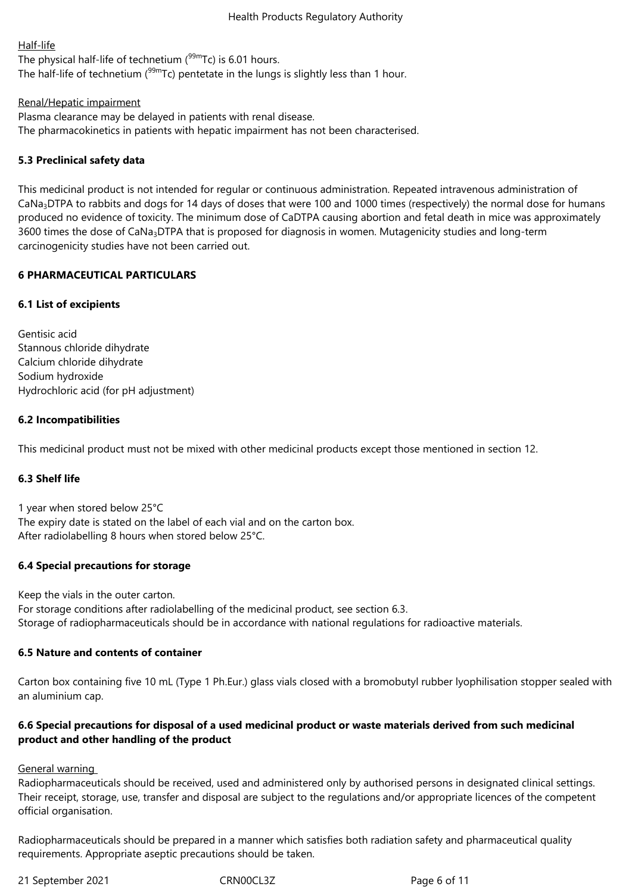### Half-life

The physical half-life of technetium  $(^{99m}$ Tc) is 6.01 hours. The half-life of technetium ( $99m$ Tc) pentetate in the lungs is slightly less than 1 hour.

### Renal/Hepatic impairment

Plasma clearance may be delayed in patients with renal disease. The pharmacokinetics in patients with hepatic impairment has not been characterised.

# **5.3 Preclinical safety data**

This medicinal product is not intended for regular or continuous administration. Repeated intravenous administration of CaNa<sub>3</sub>DTPA to rabbits and dogs for 14 days of doses that were 100 and 1000 times (respectively) the normal dose for humans produced no evidence of toxicity. The minimum dose of CaDTPA causing abortion and fetal death in mice was approximately 3600 times the dose of CaNa<sub>3</sub>DTPA that is proposed for diagnosis in women. Mutagenicity studies and long-term carcinogenicity studies have not been carried out.

### **6 PHARMACEUTICAL PARTICULARS**

# **6.1 List of excipients**

Gentisic acid Stannous chloride dihydrate Calcium chloride dihydrate Sodium hydroxide Hydrochloric acid (for pH adjustment)

### **6.2 Incompatibilities**

This medicinal product must not be mixed with other medicinal products except those mentioned in section 12.

# **6.3 Shelf life**

1 year when stored below 25°C The expiry date is stated on the label of each vial and on the carton box. After radiolabelling 8 hours when stored below 25°C.

# **6.4 Special precautions for storage**

Keep the vials in the outer carton. For storage conditions after radiolabelling of the medicinal product, see section 6.3. Storage of radiopharmaceuticals should be in accordance with national regulations for radioactive materials.

### **6.5 Nature and contents of container**

Carton box containing five 10 mL (Type 1 Ph.Eur.) glass vials closed with a bromobutyl rubber lyophilisation stopper sealed with an aluminium cap.

# **6.6 Special precautions for disposal of a used medicinal product or waste materials derived from such medicinal product and other handling of the product**

General warning

Radiopharmaceuticals should be received, used and administered only by authorised persons in designated clinical settings. Their receipt, storage, use, transfer and disposal are subject to the regulations and/or appropriate licences of the competent official organisation.

Radiopharmaceuticals should be prepared in a manner which satisfies both radiation safety and pharmaceutical quality requirements. Appropriate aseptic precautions should be taken.

21 September 2021 CRN00CL3Z Page 6 of 11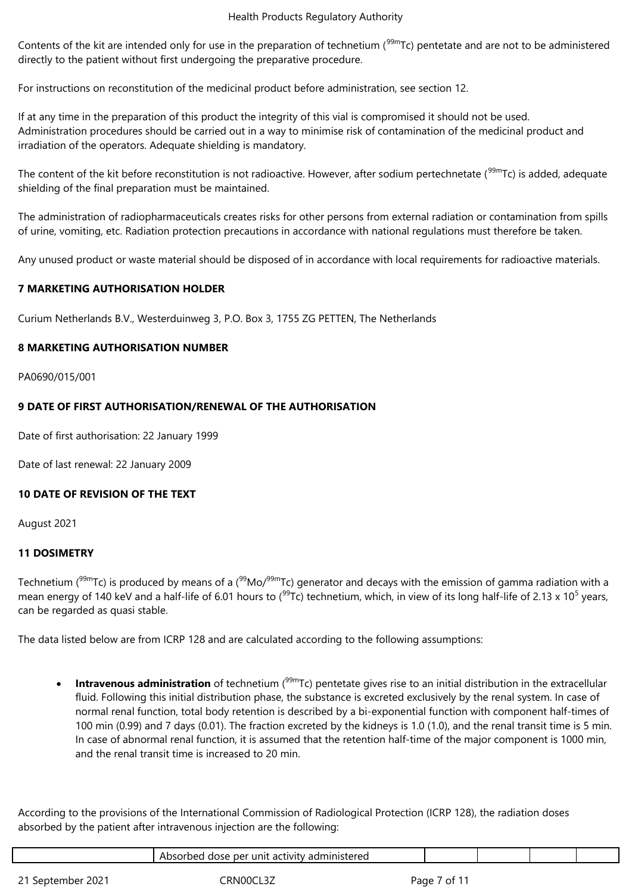Contents of the kit are intended only for use in the preparation of technetium  $(99m)$ Tc) pentetate and are not to be administered directly to the patient without first undergoing the preparative procedure.

For instructions on reconstitution of the medicinal product before administration, see section 12.

If at any time in the preparation of this product the integrity of this vial is compromised it should not be used. Administration procedures should be carried out in a way to minimise risk of contamination of the medicinal product and irradiation of the operators. Adequate shielding is mandatory.

The content of the kit before reconstitution is not radioactive. However, after sodium pertechnetate ( $99m$ Tc) is added, adequate shielding of the final preparation must be maintained.

The administration of radiopharmaceuticals creates risks for other persons from external radiation or contamination from spills of urine, vomiting, etc. Radiation protection precautions in accordance with national regulations must therefore be taken.

Any unused product or waste material should be disposed of in accordance with local requirements for radioactive materials.

# **7 MARKETING AUTHORISATION HOLDER**

Curium Netherlands B.V., Westerduinweg 3, P.O. Box 3, 1755 ZG PETTEN, The Netherlands

# **8 MARKETING AUTHORISATION NUMBER**

PA0690/015/001

# **9 DATE OF FIRST AUTHORISATION/RENEWAL OF THE AUTHORISATION**

Date of first authorisation: 22 January 1999

Date of last renewal: 22 January 2009

# **10 DATE OF REVISION OF THE TEXT**

August 2021

# **11 DOSIMETRY**

Technetium ( $99mTc$ ) is produced by means of a ( $99Mo/99mTc$ ) generator and decays with the emission of gamma radiation with a mean energy of 140 keV and a half-life of 6.01 hours to ( $^{99}$ Tc) technetium, which, in view of its long half-life of 2.13 x 10<sup>5</sup> years, can be regarded as quasi stable.

The data listed below are from ICRP 128 and are calculated according to the following assumptions:

**Intravenous administration** of technetium (<sup>99m</sup>Tc) pentetate gives rise to an initial distribution in the extracellular fluid. Following this initial distribution phase, the substance is excreted exclusively by the renal system. In case of normal renal function, total body retention is described by a bi-exponential function with component half-times of 100 min (0.99) and 7 days (0.01). The fraction excreted by the kidneys is 1.0 (1.0), and the renal transit time is 5 min. In case of abnormal renal function, it is assumed that the retention half-time of the major component is 1000 min, and the renal transit time is increased to 20 min.

According to the provisions of the International Commission of Radiological Protection (ICRP 128), the radiation doses absorbed by the patient after intravenous injection are the following:

|                   | Absorbed dose per unit activity administered |             |  |  |
|-------------------|----------------------------------------------|-------------|--|--|
| 21 September 2021 | RNOOCI                                       | Page 7 of 1 |  |  |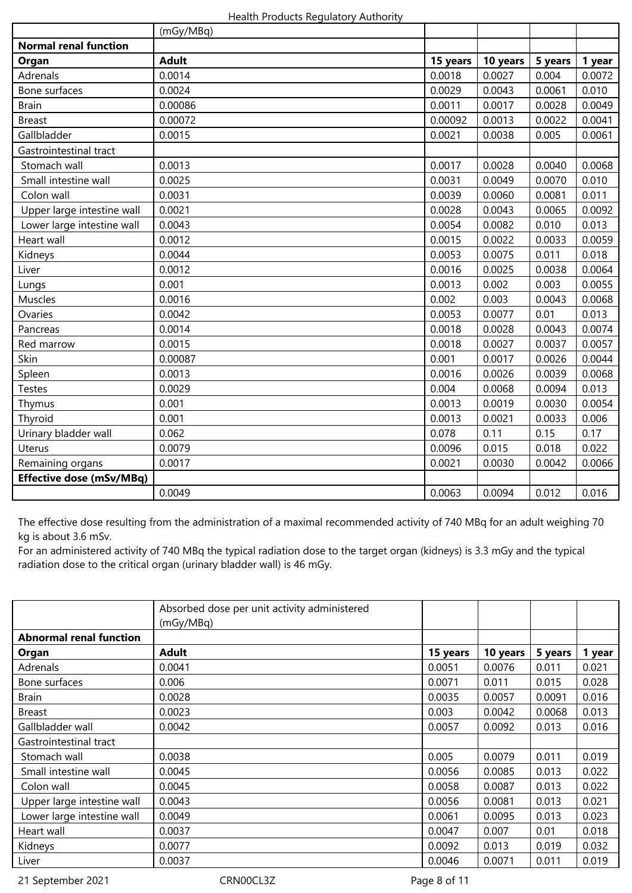|                                 | (mGy/MBq)    |          |          |         |        |
|---------------------------------|--------------|----------|----------|---------|--------|
| <b>Normal renal function</b>    |              |          |          |         |        |
| Organ                           | <b>Adult</b> | 15 years | 10 years | 5 years | 1 year |
| Adrenals                        | 0.0014       | 0.0018   | 0.0027   | 0.004   | 0.0072 |
| Bone surfaces                   | 0.0024       | 0.0029   | 0.0043   | 0.0061  | 0.010  |
| <b>Brain</b>                    | 0.00086      | 0.0011   | 0.0017   | 0.0028  | 0.0049 |
| <b>Breast</b>                   | 0.00072      | 0.00092  | 0.0013   | 0.0022  | 0.0041 |
| Gallbladder                     | 0.0015       | 0.0021   | 0.0038   | 0.005   | 0.0061 |
| Gastrointestinal tract          |              |          |          |         |        |
| Stomach wall                    | 0.0013       | 0.0017   | 0.0028   | 0.0040  | 0.0068 |
| Small intestine wall            | 0.0025       | 0.0031   | 0.0049   | 0.0070  | 0.010  |
| Colon wall                      | 0.0031       | 0.0039   | 0.0060   | 0.0081  | 0.011  |
| Upper large intestine wall      | 0.0021       | 0.0028   | 0.0043   | 0.0065  | 0.0092 |
| Lower large intestine wall      | 0.0043       | 0.0054   | 0.0082   | 0.010   | 0.013  |
| Heart wall                      | 0.0012       | 0.0015   | 0.0022   | 0.0033  | 0.0059 |
| Kidneys                         | 0.0044       | 0.0053   | 0.0075   | 0.011   | 0.018  |
| Liver                           | 0.0012       | 0.0016   | 0.0025   | 0.0038  | 0.0064 |
| Lungs                           | 0.001        | 0.0013   | 0.002    | 0.003   | 0.0055 |
| Muscles                         | 0.0016       | 0.002    | 0.003    | 0.0043  | 0.0068 |
| Ovaries                         | 0.0042       | 0.0053   | 0.0077   | 0.01    | 0.013  |
| Pancreas                        | 0.0014       | 0.0018   | 0.0028   | 0.0043  | 0.0074 |
| Red marrow                      | 0.0015       | 0.0018   | 0.0027   | 0.0037  | 0.0057 |
| Skin                            | 0.00087      | 0.001    | 0.0017   | 0.0026  | 0.0044 |
| Spleen                          | 0.0013       | 0.0016   | 0.0026   | 0.0039  | 0.0068 |
| <b>Testes</b>                   | 0.0029       | 0.004    | 0.0068   | 0.0094  | 0.013  |
| Thymus                          | 0.001        | 0.0013   | 0.0019   | 0.0030  | 0.0054 |
| Thyroid                         | 0.001        | 0.0013   | 0.0021   | 0.0033  | 0.006  |
| Urinary bladder wall            | 0.062        | 0.078    | 0.11     | 0.15    | 0.17   |
| Uterus                          | 0.0079       | 0.0096   | 0.015    | 0.018   | 0.022  |
| Remaining organs                | 0.0017       | 0.0021   | 0.0030   | 0.0042  | 0.0066 |
| <b>Effective dose (mSv/MBq)</b> |              |          |          |         |        |
|                                 | 0.0049       | 0.0063   | 0.0094   | 0.012   | 0.016  |

The effective dose resulting from the administration of a maximal recommended activity of 740 MBq for an adult weighing 70 kg is about 3.6 mSv.

For an administered activity of 740 MBq the typical radiation dose to the target organ (kidneys) is 3.3 mGy and the typical radiation dose to the critical organ (urinary bladder wall) is 46 mGy.

|                                | Absorbed dose per unit activity administered<br>(mGy/MBq) |          |          |         |        |
|--------------------------------|-----------------------------------------------------------|----------|----------|---------|--------|
| <b>Abnormal renal function</b> |                                                           |          |          |         |        |
| Organ                          | <b>Adult</b>                                              | 15 years | 10 years | 5 years | 1 year |
| Adrenals                       | 0.0041                                                    | 0.0051   | 0.0076   | 0.011   | 0.021  |
| Bone surfaces                  | 0.006                                                     | 0.0071   | 0.011    | 0.015   | 0.028  |
| <b>Brain</b>                   | 0.0028                                                    | 0.0035   | 0.0057   | 0.0091  | 0.016  |
| <b>Breast</b>                  | 0.0023                                                    | 0.003    | 0.0042   | 0.0068  | 0.013  |
| Gallbladder wall               | 0.0042                                                    | 0.0057   | 0.0092   | 0.013   | 0.016  |
| Gastrointestinal tract         |                                                           |          |          |         |        |
| Stomach wall                   | 0.0038                                                    | 0.005    | 0.0079   | 0.011   | 0.019  |
| Small intestine wall           | 0.0045                                                    | 0.0056   | 0.0085   | 0.013   | 0.022  |
| Colon wall                     | 0.0045                                                    | 0.0058   | 0.0087   | 0.013   | 0.022  |
| Upper large intestine wall     | 0.0043                                                    | 0.0056   | 0.0081   | 0.013   | 0.021  |
| Lower large intestine wall     | 0.0049                                                    | 0.0061   | 0.0095   | 0.013   | 0.023  |
| Heart wall                     | 0.0037                                                    | 0.0047   | 0.007    | 0.01    | 0.018  |
| Kidneys                        | 0.0077                                                    | 0.0092   | 0.013    | 0.019   | 0.032  |
| Liver                          | 0.0037                                                    | 0.0046   | 0.0071   | 0.011   | 0.019  |

21 September 2021 CRN00CL3Z Page 8 of 11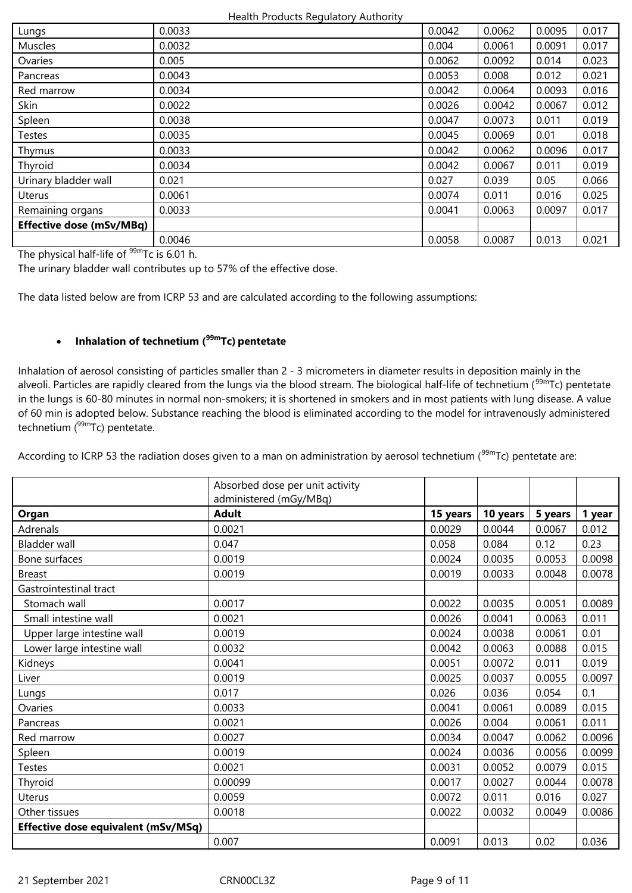| Lungs                           | 0.0033 | 0.0042 | 0.0062 | 0.0095 | 0.017 |
|---------------------------------|--------|--------|--------|--------|-------|
| <b>Muscles</b>                  | 0.0032 | 0.004  | 0.0061 | 0.0091 | 0.017 |
| Ovaries                         | 0.005  | 0.0062 | 0.0092 | 0.014  | 0.023 |
| Pancreas                        | 0.0043 | 0.0053 | 0.008  | 0.012  | 0.021 |
| Red marrow                      | 0.0034 | 0.0042 | 0.0064 | 0.0093 | 0.016 |
| Skin                            | 0.0022 | 0.0026 | 0.0042 | 0.0067 | 0.012 |
| Spleen                          | 0.0038 | 0.0047 | 0.0073 | 0.011  | 0.019 |
| <b>Testes</b>                   | 0.0035 | 0.0045 | 0.0069 | 0.01   | 0.018 |
| Thymus                          | 0.0033 | 0.0042 | 0.0062 | 0.0096 | 0.017 |
| Thyroid                         | 0.0034 | 0.0042 | 0.0067 | 0.011  | 0.019 |
| Urinary bladder wall            | 0.021  | 0.027  | 0.039  | 0.05   | 0.066 |
| Uterus                          | 0.0061 | 0.0074 | 0.011  | 0.016  | 0.025 |
| Remaining organs                | 0.0033 | 0.0041 | 0.0063 | 0.0097 | 0.017 |
| <b>Effective dose (mSv/MBq)</b> |        |        |        |        |       |
|                                 | 0.0046 | 0.0058 | 0.0087 | 0.013  | 0.021 |

The physical half-life of  $99m$ Tc is 6.01 h.

The urinary bladder wall contributes up to 57% of the effective dose.

The data listed below are from ICRP 53 and are calculated according to the following assumptions:

# **Inhalation of technetium (99mTc) pentetate**

Inhalation of aerosol consisting of particles smaller than 2 - 3 micrometers in diameter results in deposition mainly in the alveoli. Particles are rapidly cleared from the lungs via the blood stream. The biological half-life of technetium (<sup>99m</sup>Tc) pentetate in the lungs is 60-80 minutes in normal non-smokers; it is shortened in smokers and in most patients with lung disease. A value of 60 min is adopted below. Substance reaching the blood is eliminated according to the model for intravenously administered technetium  $(^{99m}$ Tc) pentetate.

According to ICRP 53 the radiation doses given to a man on administration by aerosol technetium ( $99mTc$ ) pentetate are:

|                                     | Absorbed dose per unit activity<br>administered (mGy/MBq) |          |          |         |        |
|-------------------------------------|-----------------------------------------------------------|----------|----------|---------|--------|
| Organ                               | <b>Adult</b>                                              | 15 years | 10 years | 5 years | 1 year |
| Adrenals                            | 0.0021                                                    | 0.0029   | 0.0044   | 0.0067  | 0.012  |
| <b>Bladder wall</b>                 | 0.047                                                     | 0.058    | 0.084    | 0.12    | 0.23   |
| Bone surfaces                       | 0.0019                                                    | 0.0024   | 0.0035   | 0.0053  | 0.0098 |
| <b>Breast</b>                       | 0.0019                                                    | 0.0019   | 0.0033   | 0.0048  | 0.0078 |
| Gastrointestinal tract              |                                                           |          |          |         |        |
| Stomach wall                        | 0.0017                                                    | 0.0022   | 0.0035   | 0.0051  | 0.0089 |
| Small intestine wall                | 0.0021                                                    | 0.0026   | 0.0041   | 0.0063  | 0.011  |
| Upper large intestine wall          | 0.0019                                                    | 0.0024   | 0.0038   | 0.0061  | 0.01   |
| Lower large intestine wall          | 0.0032                                                    | 0.0042   | 0.0063   | 0.0088  | 0.015  |
| Kidneys                             | 0.0041                                                    | 0.0051   | 0.0072   | 0.011   | 0.019  |
| Liver                               | 0.0019                                                    | 0.0025   | 0.0037   | 0.0055  | 0.0097 |
| Lungs                               | 0.017                                                     | 0.026    | 0.036    | 0.054   | 0.1    |
| Ovaries                             | 0.0033                                                    | 0.0041   | 0.0061   | 0.0089  | 0.015  |
| Pancreas                            | 0.0021                                                    | 0.0026   | 0.004    | 0.0061  | 0.011  |
| Red marrow                          | 0.0027                                                    | 0.0034   | 0.0047   | 0.0062  | 0.0096 |
| Spleen                              | 0.0019                                                    | 0.0024   | 0.0036   | 0.0056  | 0.0099 |
| <b>Testes</b>                       | 0.0021                                                    | 0.0031   | 0.0052   | 0.0079  | 0.015  |
| Thyroid                             | 0.00099                                                   | 0.0017   | 0.0027   | 0.0044  | 0.0078 |
| Uterus                              | 0.0059                                                    | 0.0072   | 0.011    | 0.016   | 0.027  |
| Other tissues                       | 0.0018                                                    | 0.0022   | 0.0032   | 0.0049  | 0.0086 |
| Effective dose equivalent (mSv/MSq) |                                                           |          |          |         |        |
|                                     | 0.007                                                     | 0.0091   | 0.013    | 0.02    | 0.036  |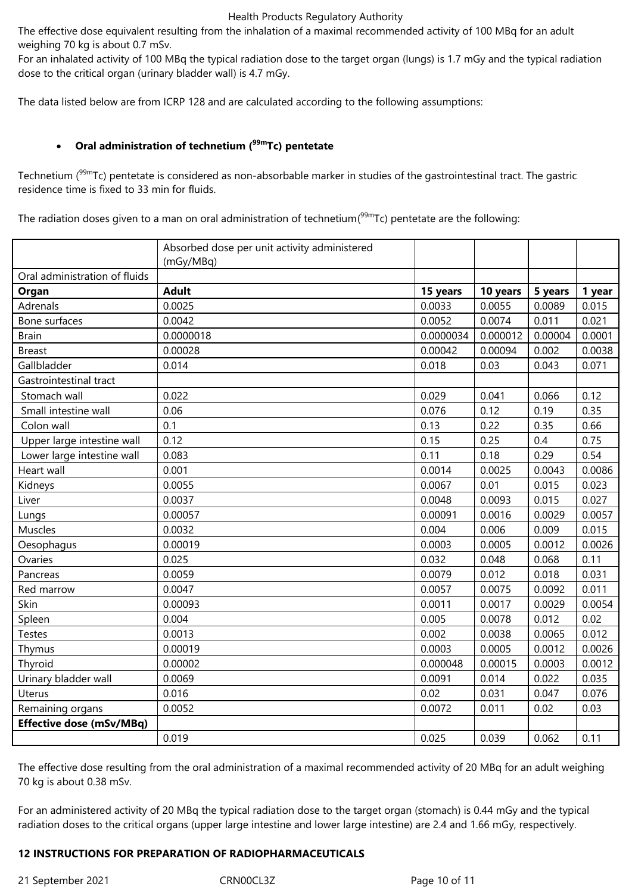The effective dose equivalent resulting from the inhalation of a maximal recommended activity of 100 MBq for an adult weighing 70 kg is about 0.7 mSv.

For an inhalated activity of 100 MBq the typical radiation dose to the target organ (lungs) is 1.7 mGy and the typical radiation dose to the critical organ (urinary bladder wall) is 4.7 mGy.

The data listed below are from ICRP 128 and are calculated according to the following assumptions:

# **Oral administration of technetium (99mTc) pentetate**

Technetium (<sup>99m</sup>Tc) pentetate is considered as non-absorbable marker in studies of the gastrointestinal tract. The gastric residence time is fixed to 33 min for fluids.

The radiation doses given to a man on oral administration of technetium(<sup>99m</sup>Tc) pentetate are the following:

|                                 | Absorbed dose per unit activity administered<br>(mGy/MBq) |           |          |         |        |
|---------------------------------|-----------------------------------------------------------|-----------|----------|---------|--------|
| Oral administration of fluids   |                                                           |           |          |         |        |
| Organ                           | <b>Adult</b>                                              | 15 years  | 10 years | 5 years | 1 year |
| Adrenals                        | 0.0025                                                    | 0.0033    | 0.0055   | 0.0089  | 0.015  |
| Bone surfaces                   | 0.0042                                                    | 0.0052    | 0.0074   | 0.011   | 0.021  |
| <b>Brain</b>                    | 0.0000018                                                 | 0.0000034 | 0.000012 | 0.00004 | 0.0001 |
| <b>Breast</b>                   | 0.00028                                                   | 0.00042   | 0.00094  | 0.002   | 0.0038 |
| Gallbladder                     | 0.014                                                     | 0.018     | 0.03     | 0.043   | 0.071  |
| Gastrointestinal tract          |                                                           |           |          |         |        |
| Stomach wall                    | 0.022                                                     | 0.029     | 0.041    | 0.066   | 0.12   |
| Small intestine wall            | 0.06                                                      | 0.076     | 0.12     | 0.19    | 0.35   |
| Colon wall                      | 0.1                                                       | 0.13      | 0.22     | 0.35    | 0.66   |
| Upper large intestine wall      | 0.12                                                      | 0.15      | 0.25     | 0.4     | 0.75   |
| Lower large intestine wall      | 0.083                                                     | 0.11      | 0.18     | 0.29    | 0.54   |
| Heart wall                      | 0.001                                                     | 0.0014    | 0.0025   | 0.0043  | 0.0086 |
| Kidneys                         | 0.0055                                                    | 0.0067    | 0.01     | 0.015   | 0.023  |
| Liver                           | 0.0037                                                    | 0.0048    | 0.0093   | 0.015   | 0.027  |
| Lungs                           | 0.00057                                                   | 0.00091   | 0.0016   | 0.0029  | 0.0057 |
| Muscles                         | 0.0032                                                    | 0.004     | 0.006    | 0.009   | 0.015  |
| Oesophagus                      | 0.00019                                                   | 0.0003    | 0.0005   | 0.0012  | 0.0026 |
| Ovaries                         | 0.025                                                     | 0.032     | 0.048    | 0.068   | 0.11   |
| Pancreas                        | 0.0059                                                    | 0.0079    | 0.012    | 0.018   | 0.031  |
| Red marrow                      | 0.0047                                                    | 0.0057    | 0.0075   | 0.0092  | 0.011  |
| Skin                            | 0.00093                                                   | 0.0011    | 0.0017   | 0.0029  | 0.0054 |
| Spleen                          | 0.004                                                     | 0.005     | 0.0078   | 0.012   | 0.02   |
| <b>Testes</b>                   | 0.0013                                                    | 0.002     | 0.0038   | 0.0065  | 0.012  |
| Thymus                          | 0.00019                                                   | 0.0003    | 0.0005   | 0.0012  | 0.0026 |
| Thyroid                         | 0.00002                                                   | 0.000048  | 0.00015  | 0.0003  | 0.0012 |
| Urinary bladder wall            | 0.0069                                                    | 0.0091    | 0.014    | 0.022   | 0.035  |
| Uterus                          | 0.016                                                     | 0.02      | 0.031    | 0.047   | 0.076  |
| Remaining organs                | 0.0052                                                    | 0.0072    | 0.011    | 0.02    | 0.03   |
| <b>Effective dose (mSv/MBq)</b> |                                                           |           |          |         |        |
|                                 | 0.019                                                     | 0.025     | 0.039    | 0.062   | 0.11   |

The effective dose resulting from the oral administration of a maximal recommended activity of 20 MBq for an adult weighing 70 kg is about 0.38 mSv.

For an administered activity of 20 MBq the typical radiation dose to the target organ (stomach) is 0.44 mGy and the typical radiation doses to the critical organs (upper large intestine and lower large intestine) are 2.4 and 1.66 mGy, respectively.

### **12 INSTRUCTIONS FOR PREPARATION OF RADIOPHARMACEUTICALS**

21 September 2021 CRN00CL3Z Page 10 of 11